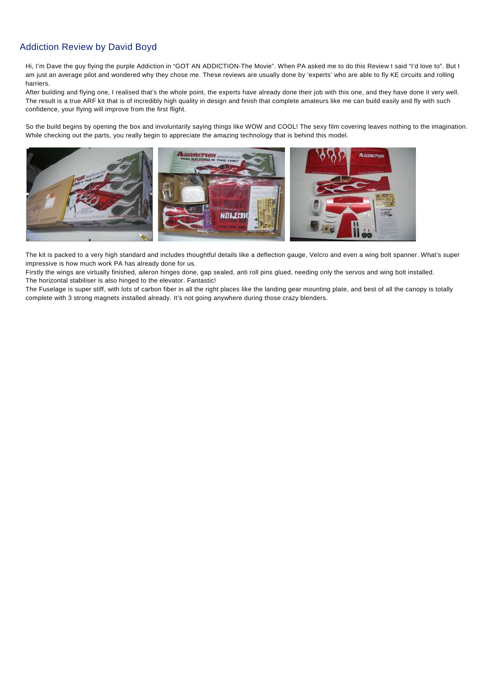# Addiction Review by David Boyd

Hi, I'm Dave the guy flying the purple Addiction in "GOT AN ADDICTION-The Movie". When PA asked me to do this Review I said "I'd love to". But I am just an average pilot and wondered why they chose me. These reviews are usually done by 'experts' who are able to fly KE circuits and rolling harriers.

After building and flying one, I realised that's the whole point, the experts have already done their job with this one, and they have done it very well. The result is a true ARF kit that is of incredibly high quality in design and finish that complete amateurs like me can build easily and fly with such confidence, your flying will improve from the first flight.

So the build begins by opening the box and involuntarily saying things like WOW and COOL! The sexy film covering leaves nothing to the imagination. While checking out the parts, you really begin to appreciate the amazing technology that is behind this model.



The kit is packed to a very high standard and includes thoughtful details like a deflection gauge, Velcro and even a wing bolt spanner. What's super impressive is how much work PA has already done for us.

Firstly the wings are virtually finished, aileron hinges done, gap sealed, anti roll pins glued, needing only the servos and wing bolt installed. The horizontal stabiliser is also hinged to the elevator. Fantastic!

The Fuselage is super stiff, with lots of carbon fiber in all the right places like the landing gear mounting plate, and best of all the canopy is totally complete with 3 strong magnets installed already. It's not going anywhere during those crazy blenders.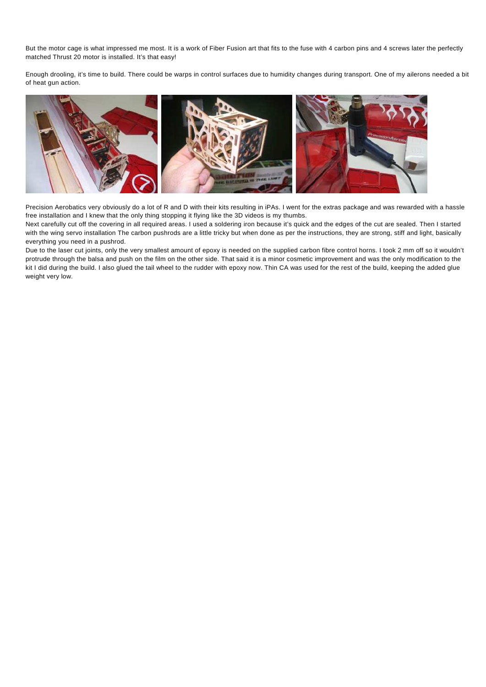But the motor cage is what impressed me most. It is a work of Fiber Fusion art that fits to the fuse with 4 carbon pins and 4 screws later the perfectly matched Thrust 20 motor is installed. It's that easy!

Enough drooling, it's time to build. There could be warps in control surfaces due to humidity changes during transport. One of my ailerons needed a bit of heat gun action.



Precision Aerobatics very obviously do a lot of R and D with their kits resulting in iPAs. I went for the extras package and was rewarded with a hassle free installation and I knew that the only thing stopping it flying like the 3D videos is my thumbs.

Next carefully cut off the covering in all required areas. I used a soldering iron because it's quick and the edges of the cut are sealed. Then I started with the wing servo installation The carbon pushrods are a little tricky but when done as per the instructions, they are strong, stiff and light, basically everything you need in a pushrod.

Due to the laser cut joints, only the very smallest amount of epoxy is needed on the supplied carbon fibre control horns. I took 2 mm off so it wouldn't protrude through the balsa and push on the film on the other side. That said it is a minor cosmetic improvement and was the only modification to the kit I did during the build. I also glued the tail wheel to the rudder with epoxy now. Thin CA was used for the rest of the build, keeping the added glue weight very low.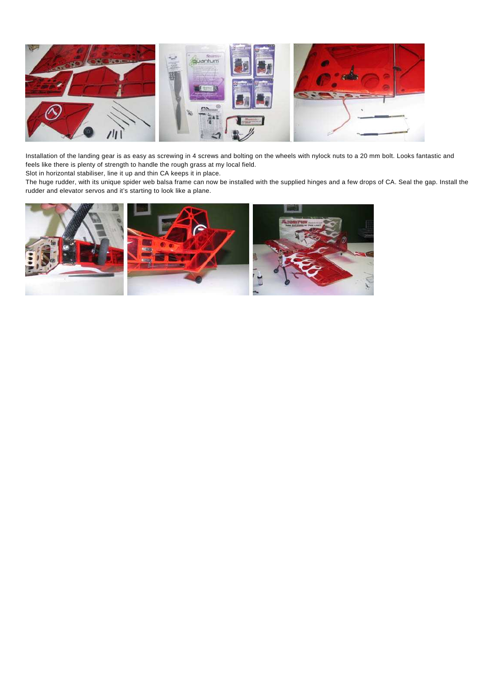

Installation of the landing gear is as easy as screwing in 4 screws and bolting on the wheels with nylock nuts to a 20 mm bolt. Looks fantastic and feels like there is plenty of strength to handle the rough grass at my local field.

Slot in horizontal stabiliser, line it up and thin CA keeps it in place.

The huge rudder, with its unique spider web balsa frame can now be installed with the supplied hinges and a few drops of CA. Seal the gap. Install the rudder and elevator servos and it's starting to look like a plane.

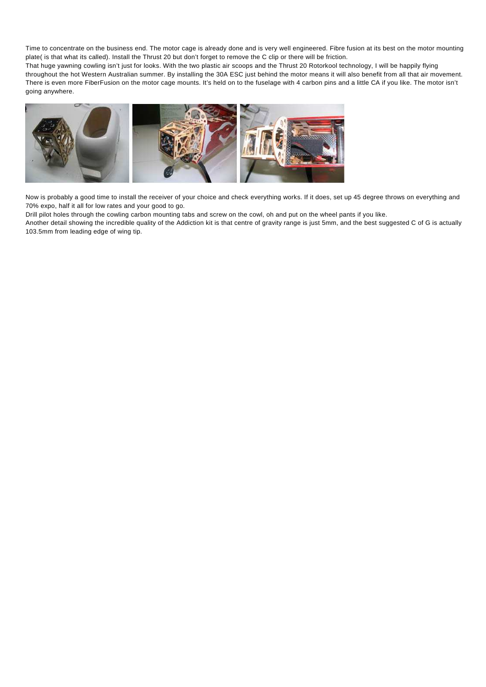Time to concentrate on the business end. The motor cage is already done and is very well engineered. Fibre fusion at its best on the motor mounting plate( is that what its called). Install the Thrust 20 but don't forget to remove the C clip or there will be friction.

That huge yawning cowling isn't just for looks. With the two plastic air scoops and the Thrust 20 Rotorkool technology, I will be happily flying throughout the hot Western Australian summer. By installing the 30A ESC just behind the motor means it will also benefit from all that air movement. There is even more FiberFusion on the motor cage mounts. It's held on to the fuselage with 4 carbon pins and a little CA if you like. The motor isn't going anywhere.



Now is probably a good time to install the receiver of your choice and check everything works. If it does, set up 45 degree throws on everything and 70% expo, half it all for low rates and your good to go.

Drill pilot holes through the cowling carbon mounting tabs and screw on the cowl, oh and put on the wheel pants if you like.

Another detail showing the incredible quality of the Addiction kit is that centre of gravity range is just 5mm, and the best suggested C of G is actually 103.5mm from leading edge of wing tip.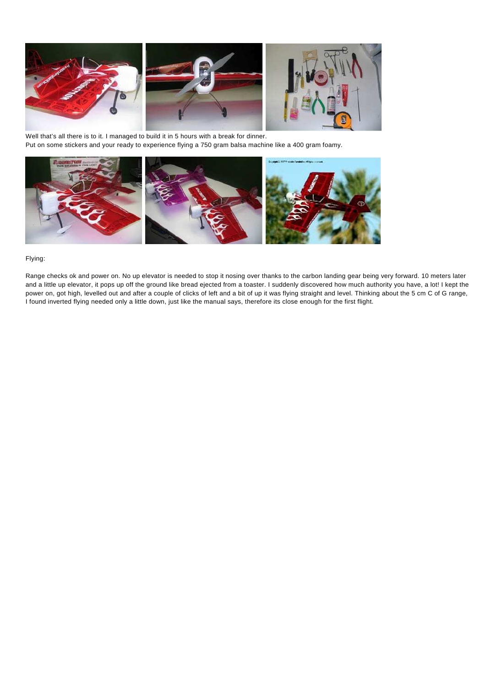

Well that's all there is to it. I managed to build it in 5 hours with a break for dinner. Put on some stickers and your ready to experience flying a 750 gram balsa machine like a 400 gram foamy.



# Flying:

Range checks ok and power on. No up elevator is needed to stop it nosing over thanks to the carbon landing gear being very forward. 10 meters later and a little up elevator, it pops up off the ground like bread ejected from a toaster. I suddenly discovered how much authority you have, a lot! I kept the power on, got high, levelled out and after a couple of clicks of left and a bit of up it was flying straight and level. Thinking about the 5 cm C of G range, I found inverted flying needed only a little down, just like the manual says, therefore its close enough for the first flight.